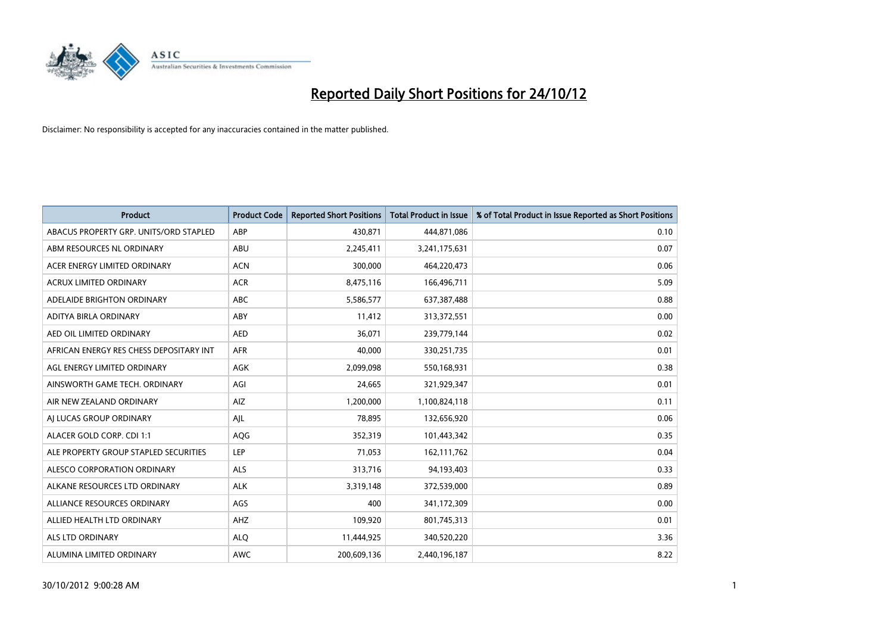

| <b>Product</b>                          | <b>Product Code</b> | <b>Reported Short Positions</b> | <b>Total Product in Issue</b> | % of Total Product in Issue Reported as Short Positions |
|-----------------------------------------|---------------------|---------------------------------|-------------------------------|---------------------------------------------------------|
| ABACUS PROPERTY GRP. UNITS/ORD STAPLED  | ABP                 | 430,871                         | 444,871,086                   | 0.10                                                    |
| ABM RESOURCES NL ORDINARY               | ABU                 | 2,245,411                       | 3,241,175,631                 | 0.07                                                    |
| ACER ENERGY LIMITED ORDINARY            | <b>ACN</b>          | 300,000                         | 464,220,473                   | 0.06                                                    |
| ACRUX LIMITED ORDINARY                  | <b>ACR</b>          | 8,475,116                       | 166,496,711                   | 5.09                                                    |
| ADELAIDE BRIGHTON ORDINARY              | <b>ABC</b>          | 5,586,577                       | 637,387,488                   | 0.88                                                    |
| ADITYA BIRLA ORDINARY                   | ABY                 | 11,412                          | 313,372,551                   | 0.00                                                    |
| AED OIL LIMITED ORDINARY                | <b>AED</b>          | 36.071                          | 239,779,144                   | 0.02                                                    |
| AFRICAN ENERGY RES CHESS DEPOSITARY INT | <b>AFR</b>          | 40,000                          | 330,251,735                   | 0.01                                                    |
| AGL ENERGY LIMITED ORDINARY             | AGK                 | 2,099,098                       | 550,168,931                   | 0.38                                                    |
| AINSWORTH GAME TECH. ORDINARY           | AGI                 | 24,665                          | 321,929,347                   | 0.01                                                    |
| AIR NEW ZEALAND ORDINARY                | AIZ                 | 1,200,000                       | 1,100,824,118                 | 0.11                                                    |
| AI LUCAS GROUP ORDINARY                 | AJL                 | 78,895                          | 132,656,920                   | 0.06                                                    |
| ALACER GOLD CORP. CDI 1:1               | AQG                 | 352,319                         | 101,443,342                   | 0.35                                                    |
| ALE PROPERTY GROUP STAPLED SECURITIES   | LEP                 | 71,053                          | 162,111,762                   | 0.04                                                    |
| ALESCO CORPORATION ORDINARY             | <b>ALS</b>          | 313,716                         | 94,193,403                    | 0.33                                                    |
| ALKANE RESOURCES LTD ORDINARY           | <b>ALK</b>          | 3,319,148                       | 372,539,000                   | 0.89                                                    |
| ALLIANCE RESOURCES ORDINARY             | AGS                 | 400                             | 341,172,309                   | 0.00                                                    |
| ALLIED HEALTH LTD ORDINARY              | AHZ                 | 109,920                         | 801,745,313                   | 0.01                                                    |
| <b>ALS LTD ORDINARY</b>                 | <b>ALO</b>          | 11,444,925                      | 340,520,220                   | 3.36                                                    |
| ALUMINA LIMITED ORDINARY                | <b>AWC</b>          | 200,609,136                     | 2,440,196,187                 | 8.22                                                    |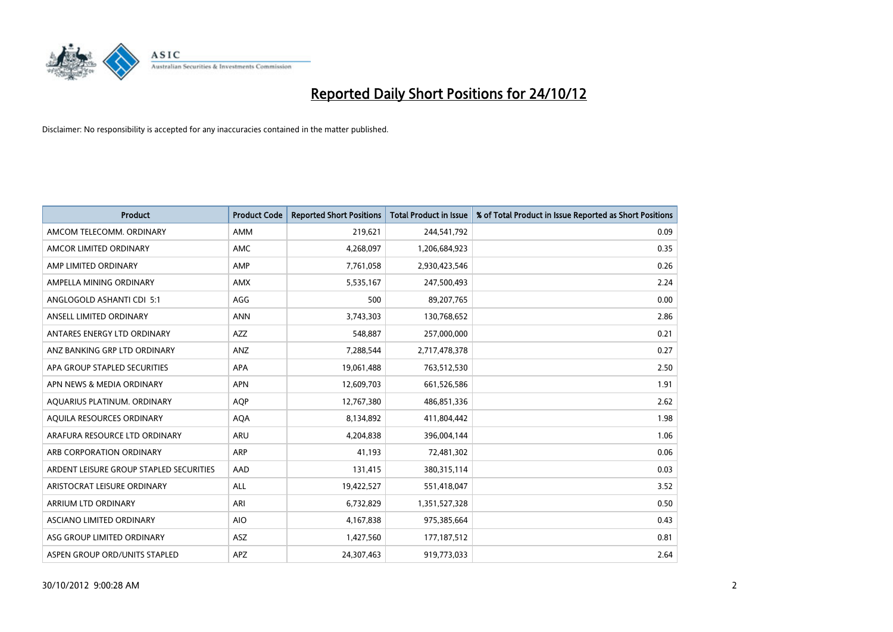

| <b>Product</b>                          | <b>Product Code</b> | <b>Reported Short Positions</b> | <b>Total Product in Issue</b> | % of Total Product in Issue Reported as Short Positions |
|-----------------------------------------|---------------------|---------------------------------|-------------------------------|---------------------------------------------------------|
| AMCOM TELECOMM, ORDINARY                | <b>AMM</b>          | 219,621                         | 244,541,792                   | 0.09                                                    |
| AMCOR LIMITED ORDINARY                  | <b>AMC</b>          | 4,268,097                       | 1,206,684,923                 | 0.35                                                    |
| AMP LIMITED ORDINARY                    | AMP                 | 7,761,058                       | 2,930,423,546                 | 0.26                                                    |
| AMPELLA MINING ORDINARY                 | <b>AMX</b>          | 5,535,167                       | 247,500,493                   | 2.24                                                    |
| ANGLOGOLD ASHANTI CDI 5:1               | AGG                 | 500                             | 89,207,765                    | 0.00                                                    |
| ANSELL LIMITED ORDINARY                 | <b>ANN</b>          | 3,743,303                       | 130,768,652                   | 2.86                                                    |
| ANTARES ENERGY LTD ORDINARY             | <b>AZZ</b>          | 548,887                         | 257,000,000                   | 0.21                                                    |
| ANZ BANKING GRP LTD ORDINARY            | ANZ                 | 7,288,544                       | 2,717,478,378                 | 0.27                                                    |
| APA GROUP STAPLED SECURITIES            | <b>APA</b>          | 19,061,488                      | 763,512,530                   | 2.50                                                    |
| APN NEWS & MEDIA ORDINARY               | <b>APN</b>          | 12,609,703                      | 661,526,586                   | 1.91                                                    |
| AQUARIUS PLATINUM. ORDINARY             | <b>AOP</b>          | 12,767,380                      | 486,851,336                   | 2.62                                                    |
| AQUILA RESOURCES ORDINARY               | <b>AQA</b>          | 8,134,892                       | 411,804,442                   | 1.98                                                    |
| ARAFURA RESOURCE LTD ORDINARY           | ARU                 | 4,204,838                       | 396,004,144                   | 1.06                                                    |
| ARB CORPORATION ORDINARY                | <b>ARP</b>          | 41,193                          | 72,481,302                    | 0.06                                                    |
| ARDENT LEISURE GROUP STAPLED SECURITIES | AAD                 | 131,415                         | 380,315,114                   | 0.03                                                    |
| ARISTOCRAT LEISURE ORDINARY             | ALL                 | 19,422,527                      | 551,418,047                   | 3.52                                                    |
| ARRIUM LTD ORDINARY                     | ARI                 | 6,732,829                       | 1,351,527,328                 | 0.50                                                    |
| ASCIANO LIMITED ORDINARY                | <b>AIO</b>          | 4,167,838                       | 975,385,664                   | 0.43                                                    |
| ASG GROUP LIMITED ORDINARY              | <b>ASZ</b>          | 1,427,560                       | 177, 187, 512                 | 0.81                                                    |
| ASPEN GROUP ORD/UNITS STAPLED           | APZ                 | 24,307,463                      | 919,773,033                   | 2.64                                                    |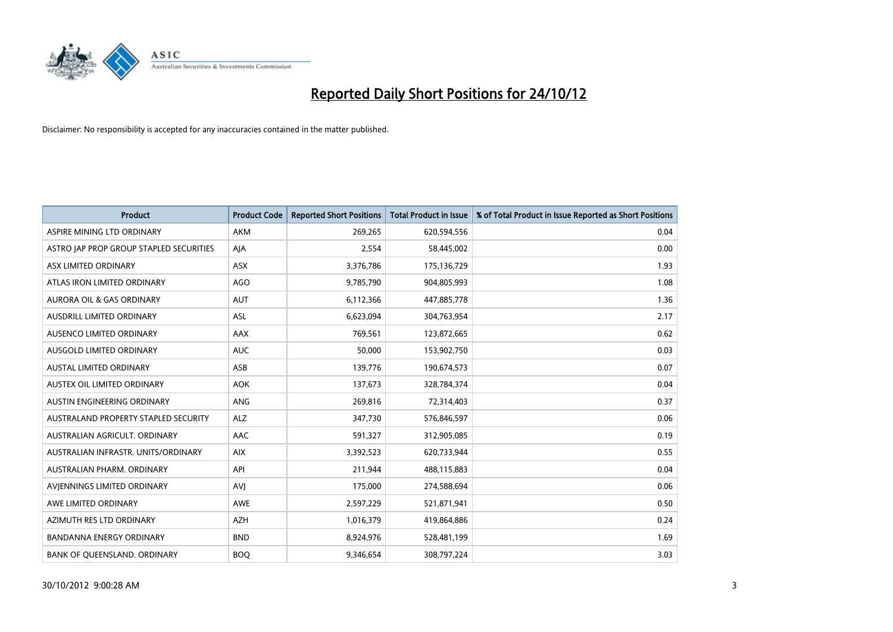

| <b>Product</b>                          | <b>Product Code</b> | <b>Reported Short Positions</b> | <b>Total Product in Issue</b> | % of Total Product in Issue Reported as Short Positions |
|-----------------------------------------|---------------------|---------------------------------|-------------------------------|---------------------------------------------------------|
| ASPIRE MINING LTD ORDINARY              | <b>AKM</b>          | 269,265                         | 620,594,556                   | 0.04                                                    |
| ASTRO JAP PROP GROUP STAPLED SECURITIES | AJA                 | 2,554                           | 58,445,002                    | 0.00                                                    |
| ASX LIMITED ORDINARY                    | <b>ASX</b>          | 3,376,786                       | 175,136,729                   | 1.93                                                    |
| ATLAS IRON LIMITED ORDINARY             | AGO                 | 9,785,790                       | 904,805,993                   | 1.08                                                    |
| <b>AURORA OIL &amp; GAS ORDINARY</b>    | <b>AUT</b>          | 6,112,366                       | 447,885,778                   | 1.36                                                    |
| AUSDRILL LIMITED ORDINARY               | <b>ASL</b>          | 6,623,094                       | 304,763,954                   | 2.17                                                    |
| AUSENCO LIMITED ORDINARY                | AAX                 | 769,561                         | 123,872,665                   | 0.62                                                    |
| <b>AUSGOLD LIMITED ORDINARY</b>         | <b>AUC</b>          | 50,000                          | 153,902,750                   | 0.03                                                    |
| <b>AUSTAL LIMITED ORDINARY</b>          | ASB                 | 139,776                         | 190,674,573                   | 0.07                                                    |
| AUSTEX OIL LIMITED ORDINARY             | <b>AOK</b>          | 137,673                         | 328,784,374                   | 0.04                                                    |
| AUSTIN ENGINEERING ORDINARY             | <b>ANG</b>          | 269,816                         | 72,314,403                    | 0.37                                                    |
| AUSTRALAND PROPERTY STAPLED SECURITY    | <b>ALZ</b>          | 347,730                         | 576,846,597                   | 0.06                                                    |
| AUSTRALIAN AGRICULT. ORDINARY           | <b>AAC</b>          | 591,327                         | 312,905,085                   | 0.19                                                    |
| AUSTRALIAN INFRASTR, UNITS/ORDINARY     | <b>AIX</b>          | 3,392,523                       | 620,733,944                   | 0.55                                                    |
| AUSTRALIAN PHARM, ORDINARY              | API                 | 211,944                         | 488,115,883                   | 0.04                                                    |
| AVJENNINGS LIMITED ORDINARY             | <b>AVJ</b>          | 175,000                         | 274,588,694                   | 0.06                                                    |
| AWE LIMITED ORDINARY                    | AWE                 | 2,597,229                       | 521,871,941                   | 0.50                                                    |
| AZIMUTH RES LTD ORDINARY                | <b>AZH</b>          | 1,016,379                       | 419,864,886                   | 0.24                                                    |
| <b>BANDANNA ENERGY ORDINARY</b>         | <b>BND</b>          | 8,924,976                       | 528,481,199                   | 1.69                                                    |
| BANK OF QUEENSLAND. ORDINARY            | <b>BOQ</b>          | 9,346,654                       | 308,797,224                   | 3.03                                                    |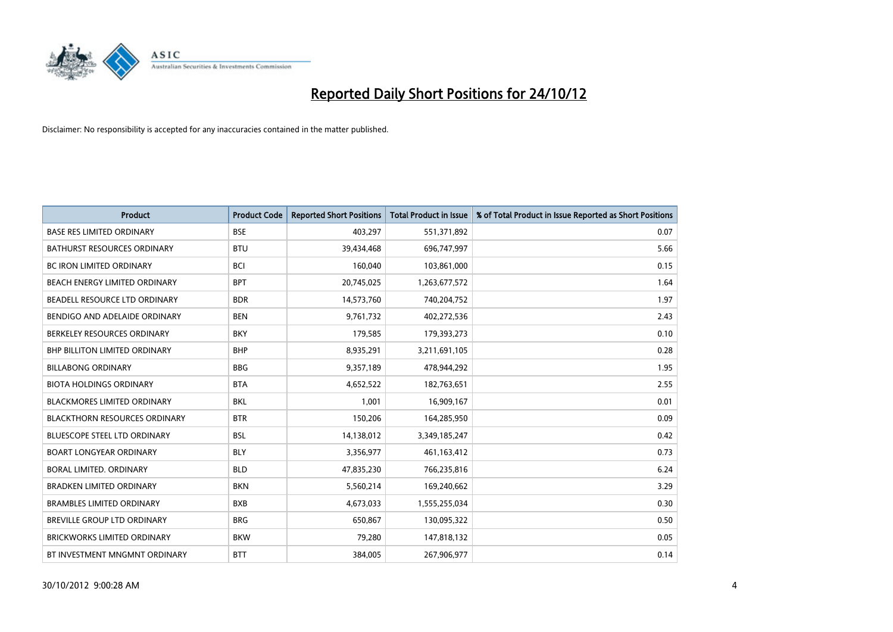

| <b>Product</b>                       | <b>Product Code</b> | <b>Reported Short Positions</b> | <b>Total Product in Issue</b> | % of Total Product in Issue Reported as Short Positions |
|--------------------------------------|---------------------|---------------------------------|-------------------------------|---------------------------------------------------------|
| <b>BASE RES LIMITED ORDINARY</b>     | <b>BSE</b>          | 403,297                         | 551,371,892                   | 0.07                                                    |
| <b>BATHURST RESOURCES ORDINARY</b>   | <b>BTU</b>          | 39,434,468                      | 696,747,997                   | 5.66                                                    |
| <b>BC IRON LIMITED ORDINARY</b>      | <b>BCI</b>          | 160,040                         | 103,861,000                   | 0.15                                                    |
| BEACH ENERGY LIMITED ORDINARY        | <b>BPT</b>          | 20,745,025                      | 1,263,677,572                 | 1.64                                                    |
| BEADELL RESOURCE LTD ORDINARY        | <b>BDR</b>          | 14,573,760                      | 740,204,752                   | 1.97                                                    |
| BENDIGO AND ADELAIDE ORDINARY        | <b>BEN</b>          | 9,761,732                       | 402,272,536                   | 2.43                                                    |
| BERKELEY RESOURCES ORDINARY          | <b>BKY</b>          | 179,585                         | 179,393,273                   | 0.10                                                    |
| BHP BILLITON LIMITED ORDINARY        | <b>BHP</b>          | 8,935,291                       | 3,211,691,105                 | 0.28                                                    |
| <b>BILLABONG ORDINARY</b>            | <b>BBG</b>          | 9,357,189                       | 478,944,292                   | 1.95                                                    |
| <b>BIOTA HOLDINGS ORDINARY</b>       | <b>BTA</b>          | 4,652,522                       | 182,763,651                   | 2.55                                                    |
| BLACKMORES LIMITED ORDINARY          | <b>BKL</b>          | 1,001                           | 16,909,167                    | 0.01                                                    |
| <b>BLACKTHORN RESOURCES ORDINARY</b> | <b>BTR</b>          | 150,206                         | 164,285,950                   | 0.09                                                    |
| BLUESCOPE STEEL LTD ORDINARY         | <b>BSL</b>          | 14,138,012                      | 3,349,185,247                 | 0.42                                                    |
| <b>BOART LONGYEAR ORDINARY</b>       | <b>BLY</b>          | 3,356,977                       | 461,163,412                   | 0.73                                                    |
| BORAL LIMITED, ORDINARY              | <b>BLD</b>          | 47,835,230                      | 766,235,816                   | 6.24                                                    |
| <b>BRADKEN LIMITED ORDINARY</b>      | <b>BKN</b>          | 5,560,214                       | 169,240,662                   | 3.29                                                    |
| <b>BRAMBLES LIMITED ORDINARY</b>     | <b>BXB</b>          | 4,673,033                       | 1,555,255,034                 | 0.30                                                    |
| BREVILLE GROUP LTD ORDINARY          | <b>BRG</b>          | 650,867                         | 130,095,322                   | 0.50                                                    |
| <b>BRICKWORKS LIMITED ORDINARY</b>   | <b>BKW</b>          | 79,280                          | 147,818,132                   | 0.05                                                    |
| BT INVESTMENT MNGMNT ORDINARY        | <b>BTT</b>          | 384,005                         | 267,906,977                   | 0.14                                                    |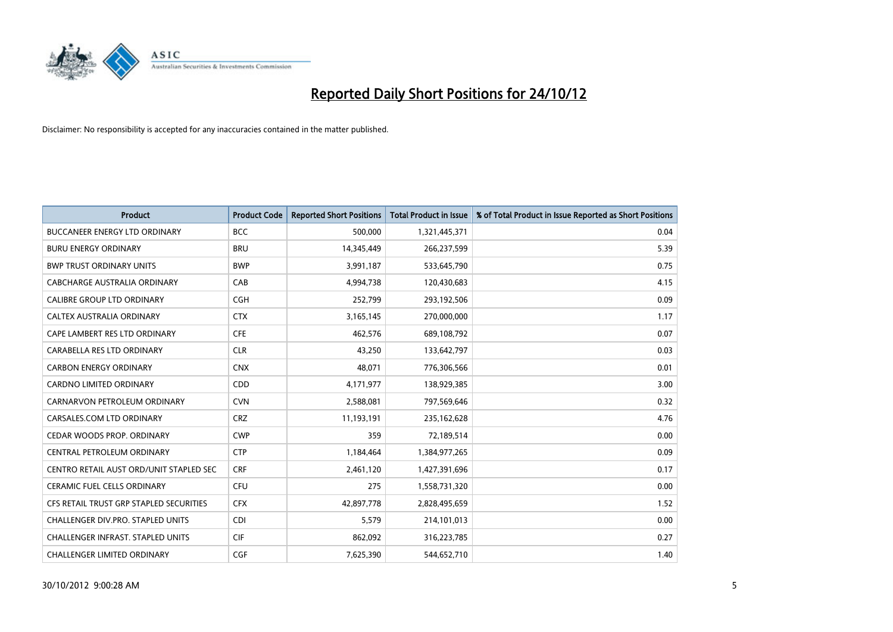

| <b>Product</b>                           | <b>Product Code</b> | <b>Reported Short Positions</b> | <b>Total Product in Issue</b> | % of Total Product in Issue Reported as Short Positions |
|------------------------------------------|---------------------|---------------------------------|-------------------------------|---------------------------------------------------------|
| <b>BUCCANEER ENERGY LTD ORDINARY</b>     | <b>BCC</b>          | 500,000                         | 1,321,445,371                 | 0.04                                                    |
| <b>BURU ENERGY ORDINARY</b>              | <b>BRU</b>          | 14,345,449                      | 266,237,599                   | 5.39                                                    |
| <b>BWP TRUST ORDINARY UNITS</b>          | <b>BWP</b>          | 3,991,187                       | 533,645,790                   | 0.75                                                    |
| CABCHARGE AUSTRALIA ORDINARY             | CAB                 | 4,994,738                       | 120,430,683                   | 4.15                                                    |
| <b>CALIBRE GROUP LTD ORDINARY</b>        | <b>CGH</b>          | 252,799                         | 293,192,506                   | 0.09                                                    |
| CALTEX AUSTRALIA ORDINARY                | <b>CTX</b>          | 3,165,145                       | 270,000,000                   | 1.17                                                    |
| CAPE LAMBERT RES LTD ORDINARY            | <b>CFE</b>          | 462.576                         | 689,108,792                   | 0.07                                                    |
| CARABELLA RES LTD ORDINARY               | <b>CLR</b>          | 43,250                          | 133,642,797                   | 0.03                                                    |
| <b>CARBON ENERGY ORDINARY</b>            | <b>CNX</b>          | 48,071                          | 776,306,566                   | 0.01                                                    |
| <b>CARDNO LIMITED ORDINARY</b>           | CDD                 | 4,171,977                       | 138,929,385                   | 3.00                                                    |
| CARNARVON PETROLEUM ORDINARY             | <b>CVN</b>          | 2,588,081                       | 797,569,646                   | 0.32                                                    |
| CARSALES.COM LTD ORDINARY                | <b>CRZ</b>          | 11,193,191                      | 235,162,628                   | 4.76                                                    |
| CEDAR WOODS PROP. ORDINARY               | <b>CWP</b>          | 359                             | 72,189,514                    | 0.00                                                    |
| <b>CENTRAL PETROLEUM ORDINARY</b>        | <b>CTP</b>          | 1,184,464                       | 1,384,977,265                 | 0.09                                                    |
| CENTRO RETAIL AUST ORD/UNIT STAPLED SEC  | <b>CRF</b>          | 2,461,120                       | 1,427,391,696                 | 0.17                                                    |
| <b>CERAMIC FUEL CELLS ORDINARY</b>       | <b>CFU</b>          | 275                             | 1,558,731,320                 | 0.00                                                    |
| CFS RETAIL TRUST GRP STAPLED SECURITIES  | <b>CFX</b>          | 42,897,778                      | 2,828,495,659                 | 1.52                                                    |
| CHALLENGER DIV.PRO. STAPLED UNITS        | <b>CDI</b>          | 5,579                           | 214,101,013                   | 0.00                                                    |
| <b>CHALLENGER INFRAST, STAPLED UNITS</b> | <b>CIF</b>          | 862,092                         | 316,223,785                   | 0.27                                                    |
| <b>CHALLENGER LIMITED ORDINARY</b>       | <b>CGF</b>          | 7,625,390                       | 544,652,710                   | 1.40                                                    |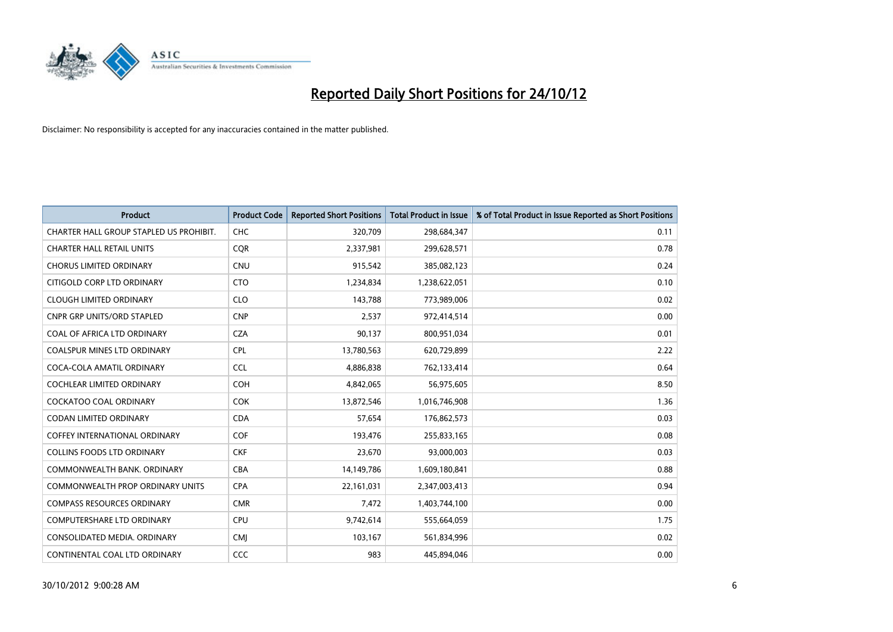

| <b>Product</b>                          | <b>Product Code</b> | <b>Reported Short Positions</b> | Total Product in Issue | % of Total Product in Issue Reported as Short Positions |
|-----------------------------------------|---------------------|---------------------------------|------------------------|---------------------------------------------------------|
| CHARTER HALL GROUP STAPLED US PROHIBIT. | <b>CHC</b>          | 320,709                         | 298,684,347            | 0.11                                                    |
| <b>CHARTER HALL RETAIL UNITS</b>        | <b>COR</b>          | 2,337,981                       | 299,628,571            | 0.78                                                    |
| <b>CHORUS LIMITED ORDINARY</b>          | <b>CNU</b>          | 915,542                         | 385,082,123            | 0.24                                                    |
| CITIGOLD CORP LTD ORDINARY              | <b>CTO</b>          | 1,234,834                       | 1,238,622,051          | 0.10                                                    |
| <b>CLOUGH LIMITED ORDINARY</b>          | <b>CLO</b>          | 143,788                         | 773,989,006            | 0.02                                                    |
| <b>CNPR GRP UNITS/ORD STAPLED</b>       | <b>CNP</b>          | 2,537                           | 972,414,514            | 0.00                                                    |
| COAL OF AFRICA LTD ORDINARY             | <b>CZA</b>          | 90,137                          | 800,951,034            | 0.01                                                    |
| <b>COALSPUR MINES LTD ORDINARY</b>      | <b>CPL</b>          | 13,780,563                      | 620,729,899            | 2.22                                                    |
| COCA-COLA AMATIL ORDINARY               | <b>CCL</b>          | 4,886,838                       | 762,133,414            | 0.64                                                    |
| <b>COCHLEAR LIMITED ORDINARY</b>        | <b>COH</b>          | 4,842,065                       | 56,975,605             | 8.50                                                    |
| COCKATOO COAL ORDINARY                  | <b>COK</b>          | 13,872,546                      | 1,016,746,908          | 1.36                                                    |
| <b>CODAN LIMITED ORDINARY</b>           | <b>CDA</b>          | 57,654                          | 176,862,573            | 0.03                                                    |
| COFFEY INTERNATIONAL ORDINARY           | <b>COF</b>          | 193,476                         | 255,833,165            | 0.08                                                    |
| <b>COLLINS FOODS LTD ORDINARY</b>       | <b>CKF</b>          | 23,670                          | 93,000,003             | 0.03                                                    |
| COMMONWEALTH BANK, ORDINARY             | <b>CBA</b>          | 14,149,786                      | 1,609,180,841          | 0.88                                                    |
| <b>COMMONWEALTH PROP ORDINARY UNITS</b> | <b>CPA</b>          | 22,161,031                      | 2,347,003,413          | 0.94                                                    |
| <b>COMPASS RESOURCES ORDINARY</b>       | <b>CMR</b>          | 7,472                           | 1,403,744,100          | 0.00                                                    |
| COMPUTERSHARE LTD ORDINARY              | CPU                 | 9,742,614                       | 555,664,059            | 1.75                                                    |
| CONSOLIDATED MEDIA, ORDINARY            | <b>CMI</b>          | 103,167                         | 561,834,996            | 0.02                                                    |
| CONTINENTAL COAL LTD ORDINARY           | CCC                 | 983                             | 445,894,046            | 0.00                                                    |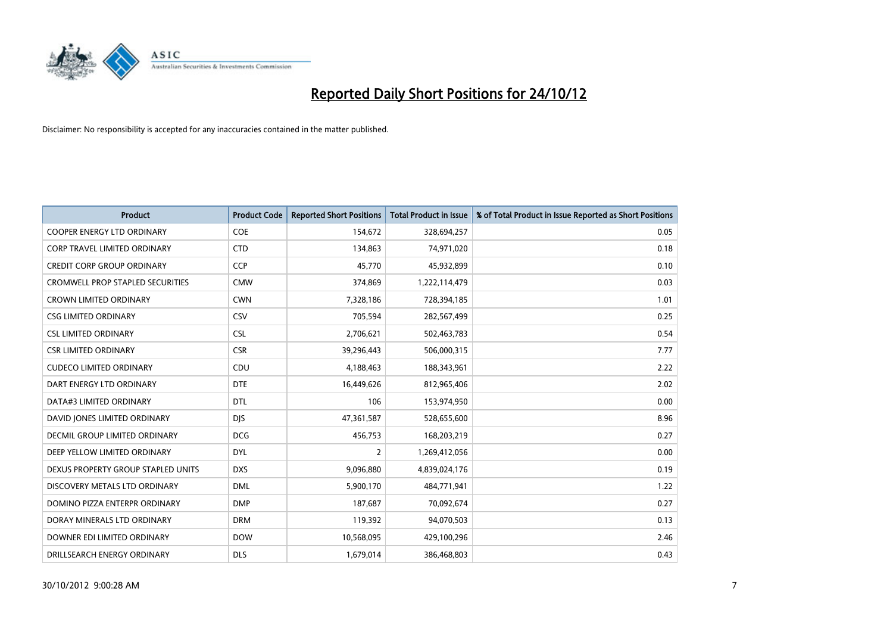

| <b>Product</b>                          | <b>Product Code</b> | <b>Reported Short Positions</b> | <b>Total Product in Issue</b> | % of Total Product in Issue Reported as Short Positions |
|-----------------------------------------|---------------------|---------------------------------|-------------------------------|---------------------------------------------------------|
| <b>COOPER ENERGY LTD ORDINARY</b>       | <b>COE</b>          | 154,672                         | 328,694,257                   | 0.05                                                    |
| CORP TRAVEL LIMITED ORDINARY            | <b>CTD</b>          | 134,863                         | 74,971,020                    | 0.18                                                    |
| <b>CREDIT CORP GROUP ORDINARY</b>       | <b>CCP</b>          | 45,770                          | 45,932,899                    | 0.10                                                    |
| <b>CROMWELL PROP STAPLED SECURITIES</b> | <b>CMW</b>          | 374,869                         | 1,222,114,479                 | 0.03                                                    |
| <b>CROWN LIMITED ORDINARY</b>           | <b>CWN</b>          | 7,328,186                       | 728,394,185                   | 1.01                                                    |
| <b>CSG LIMITED ORDINARY</b>             | CSV                 | 705,594                         | 282,567,499                   | 0.25                                                    |
| <b>CSL LIMITED ORDINARY</b>             | <b>CSL</b>          | 2,706,621                       | 502,463,783                   | 0.54                                                    |
| <b>CSR LIMITED ORDINARY</b>             | <b>CSR</b>          | 39,296,443                      | 506,000,315                   | 7.77                                                    |
| <b>CUDECO LIMITED ORDINARY</b>          | CDU                 | 4,188,463                       | 188,343,961                   | 2.22                                                    |
| DART ENERGY LTD ORDINARY                | <b>DTE</b>          | 16,449,626                      | 812,965,406                   | 2.02                                                    |
| DATA#3 LIMITED ORDINARY                 | <b>DTL</b>          | 106                             | 153,974,950                   | 0.00                                                    |
| DAVID JONES LIMITED ORDINARY            | <b>DJS</b>          | 47,361,587                      | 528,655,600                   | 8.96                                                    |
| <b>DECMIL GROUP LIMITED ORDINARY</b>    | <b>DCG</b>          | 456,753                         | 168,203,219                   | 0.27                                                    |
| DEEP YELLOW LIMITED ORDINARY            | <b>DYL</b>          | 2                               | 1,269,412,056                 | 0.00                                                    |
| DEXUS PROPERTY GROUP STAPLED UNITS      | <b>DXS</b>          | 9,096,880                       | 4,839,024,176                 | 0.19                                                    |
| DISCOVERY METALS LTD ORDINARY           | <b>DML</b>          | 5,900,170                       | 484,771,941                   | 1.22                                                    |
| DOMINO PIZZA ENTERPR ORDINARY           | <b>DMP</b>          | 187,687                         | 70,092,674                    | 0.27                                                    |
| DORAY MINERALS LTD ORDINARY             | <b>DRM</b>          | 119,392                         | 94,070,503                    | 0.13                                                    |
| DOWNER EDI LIMITED ORDINARY             | <b>DOW</b>          | 10,568,095                      | 429,100,296                   | 2.46                                                    |
| DRILLSEARCH ENERGY ORDINARY             | <b>DLS</b>          | 1,679,014                       | 386,468,803                   | 0.43                                                    |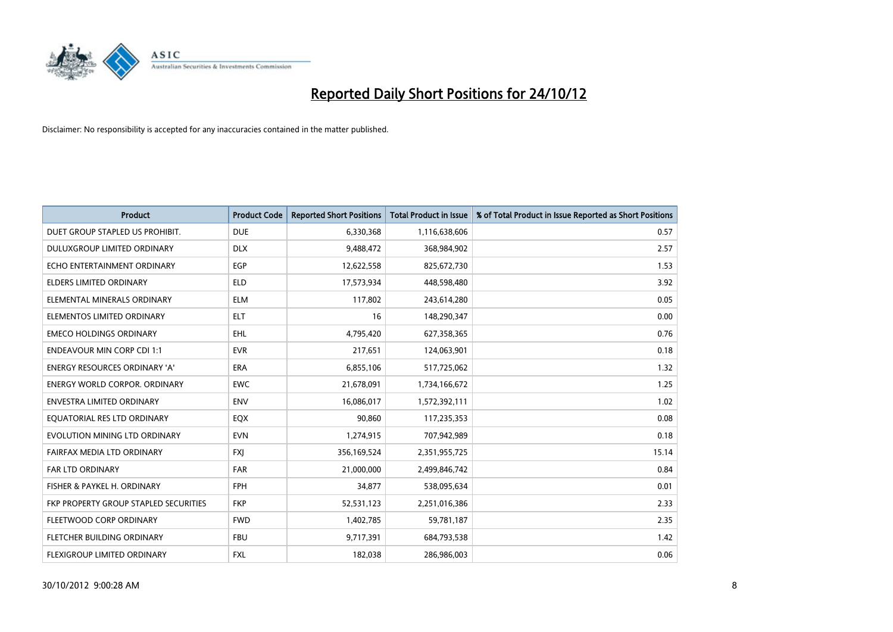

| <b>Product</b>                        | <b>Product Code</b> | <b>Reported Short Positions</b> | <b>Total Product in Issue</b> | % of Total Product in Issue Reported as Short Positions |
|---------------------------------------|---------------------|---------------------------------|-------------------------------|---------------------------------------------------------|
| DUET GROUP STAPLED US PROHIBIT.       | <b>DUE</b>          | 6,330,368                       | 1,116,638,606                 | 0.57                                                    |
| DULUXGROUP LIMITED ORDINARY           | <b>DLX</b>          | 9,488,472                       | 368,984,902                   | 2.57                                                    |
| ECHO ENTERTAINMENT ORDINARY           | EGP                 | 12,622,558                      | 825,672,730                   | 1.53                                                    |
| ELDERS LIMITED ORDINARY               | <b>ELD</b>          | 17,573,934                      | 448,598,480                   | 3.92                                                    |
| ELEMENTAL MINERALS ORDINARY           | <b>ELM</b>          | 117,802                         | 243,614,280                   | 0.05                                                    |
| ELEMENTOS LIMITED ORDINARY            | <b>ELT</b>          | 16                              | 148,290,347                   | 0.00                                                    |
| <b>EMECO HOLDINGS ORDINARY</b>        | <b>EHL</b>          | 4,795,420                       | 627,358,365                   | 0.76                                                    |
| <b>ENDEAVOUR MIN CORP CDI 1:1</b>     | <b>EVR</b>          | 217,651                         | 124,063,901                   | 0.18                                                    |
| ENERGY RESOURCES ORDINARY 'A'         | ERA                 | 6,855,106                       | 517,725,062                   | 1.32                                                    |
| <b>ENERGY WORLD CORPOR, ORDINARY</b>  | <b>EWC</b>          | 21,678,091                      | 1,734,166,672                 | 1.25                                                    |
| ENVESTRA LIMITED ORDINARY             | <b>ENV</b>          | 16,086,017                      | 1,572,392,111                 | 1.02                                                    |
| EQUATORIAL RES LTD ORDINARY           | <b>EQX</b>          | 90,860                          | 117,235,353                   | 0.08                                                    |
| EVOLUTION MINING LTD ORDINARY         | <b>EVN</b>          | 1,274,915                       | 707,942,989                   | 0.18                                                    |
| FAIRFAX MEDIA LTD ORDINARY            | <b>FXI</b>          | 356,169,524                     | 2,351,955,725                 | 15.14                                                   |
| <b>FAR LTD ORDINARY</b>               | <b>FAR</b>          | 21,000,000                      | 2,499,846,742                 | 0.84                                                    |
| FISHER & PAYKEL H. ORDINARY           | <b>FPH</b>          | 34,877                          | 538,095,634                   | 0.01                                                    |
| FKP PROPERTY GROUP STAPLED SECURITIES | <b>FKP</b>          | 52,531,123                      | 2,251,016,386                 | 2.33                                                    |
| FLEETWOOD CORP ORDINARY               | <b>FWD</b>          | 1,402,785                       | 59,781,187                    | 2.35                                                    |
| FLETCHER BUILDING ORDINARY            | <b>FBU</b>          | 9,717,391                       | 684,793,538                   | 1.42                                                    |
| <b>FLEXIGROUP LIMITED ORDINARY</b>    | <b>FXL</b>          | 182.038                         | 286,986,003                   | 0.06                                                    |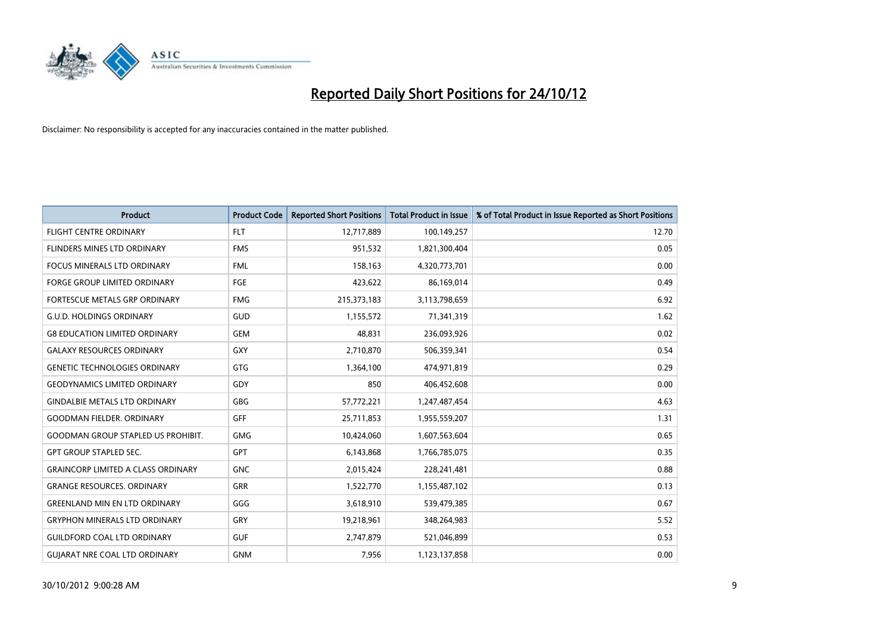

| <b>Product</b>                            | <b>Product Code</b> | <b>Reported Short Positions</b> | <b>Total Product in Issue</b> | % of Total Product in Issue Reported as Short Positions |
|-------------------------------------------|---------------------|---------------------------------|-------------------------------|---------------------------------------------------------|
| <b>FLIGHT CENTRE ORDINARY</b>             | <b>FLT</b>          | 12,717,889                      | 100,149,257                   | 12.70                                                   |
| FLINDERS MINES LTD ORDINARY               | <b>FMS</b>          | 951,532                         | 1,821,300,404                 | 0.05                                                    |
| <b>FOCUS MINERALS LTD ORDINARY</b>        | <b>FML</b>          | 158,163                         | 4,320,773,701                 | 0.00                                                    |
| <b>FORGE GROUP LIMITED ORDINARY</b>       | FGE                 | 423,622                         | 86,169,014                    | 0.49                                                    |
| FORTESCUE METALS GRP ORDINARY             | <b>FMG</b>          | 215,373,183                     | 3,113,798,659                 | 6.92                                                    |
| <b>G.U.D. HOLDINGS ORDINARY</b>           | GUD                 | 1,155,572                       | 71,341,319                    | 1.62                                                    |
| <b>G8 EDUCATION LIMITED ORDINARY</b>      | <b>GEM</b>          | 48,831                          | 236,093,926                   | 0.02                                                    |
| <b>GALAXY RESOURCES ORDINARY</b>          | <b>GXY</b>          | 2,710,870                       | 506,359,341                   | 0.54                                                    |
| <b>GENETIC TECHNOLOGIES ORDINARY</b>      | <b>GTG</b>          | 1,364,100                       | 474,971,819                   | 0.29                                                    |
| <b>GEODYNAMICS LIMITED ORDINARY</b>       | GDY                 | 850                             | 406,452,608                   | 0.00                                                    |
| <b>GINDALBIE METALS LTD ORDINARY</b>      | <b>GBG</b>          | 57,772,221                      | 1,247,487,454                 | 4.63                                                    |
| <b>GOODMAN FIELDER. ORDINARY</b>          | <b>GFF</b>          | 25,711,853                      | 1,955,559,207                 | 1.31                                                    |
| <b>GOODMAN GROUP STAPLED US PROHIBIT.</b> | <b>GMG</b>          | 10,424,060                      | 1,607,563,604                 | 0.65                                                    |
| <b>GPT GROUP STAPLED SEC.</b>             | <b>GPT</b>          | 6,143,868                       | 1,766,785,075                 | 0.35                                                    |
| <b>GRAINCORP LIMITED A CLASS ORDINARY</b> | <b>GNC</b>          | 2,015,424                       | 228,241,481                   | 0.88                                                    |
| <b>GRANGE RESOURCES, ORDINARY</b>         | <b>GRR</b>          | 1,522,770                       | 1,155,487,102                 | 0.13                                                    |
| <b>GREENLAND MIN EN LTD ORDINARY</b>      | GGG                 | 3,618,910                       | 539,479,385                   | 0.67                                                    |
| <b>GRYPHON MINERALS LTD ORDINARY</b>      | GRY                 | 19,218,961                      | 348,264,983                   | 5.52                                                    |
| <b>GUILDFORD COAL LTD ORDINARY</b>        | <b>GUF</b>          | 2,747,879                       | 521,046,899                   | 0.53                                                    |
| <b>GUIARAT NRE COAL LTD ORDINARY</b>      | <b>GNM</b>          | 7,956                           | 1,123,137,858                 | 0.00                                                    |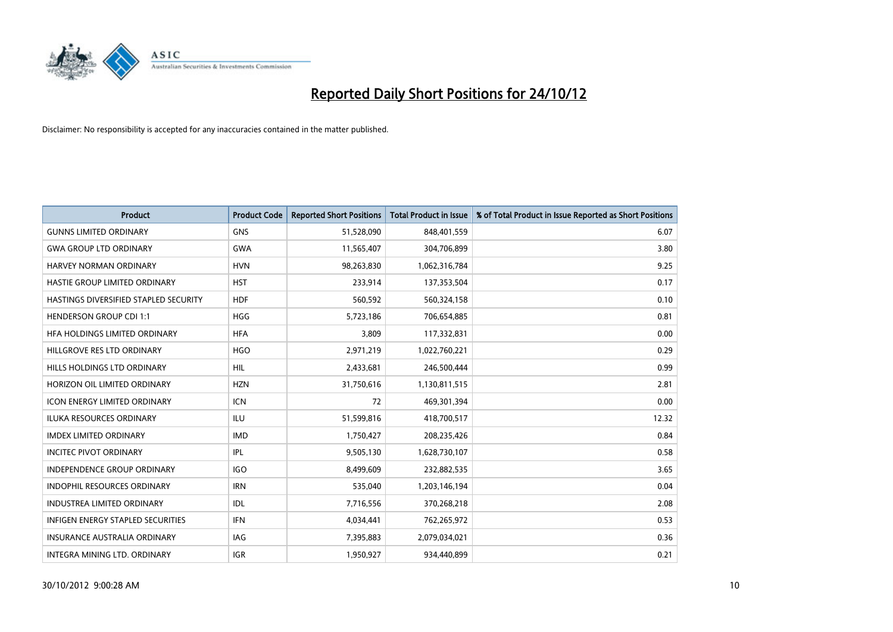

| <b>Product</b>                        | <b>Product Code</b> | <b>Reported Short Positions</b> | <b>Total Product in Issue</b> | % of Total Product in Issue Reported as Short Positions |
|---------------------------------------|---------------------|---------------------------------|-------------------------------|---------------------------------------------------------|
| <b>GUNNS LIMITED ORDINARY</b>         | <b>GNS</b>          | 51,528,090                      | 848,401,559                   | 6.07                                                    |
| <b>GWA GROUP LTD ORDINARY</b>         | <b>GWA</b>          | 11,565,407                      | 304,706,899                   | 3.80                                                    |
| HARVEY NORMAN ORDINARY                | <b>HVN</b>          | 98,263,830                      | 1,062,316,784                 | 9.25                                                    |
| HASTIE GROUP LIMITED ORDINARY         | <b>HST</b>          | 233,914                         | 137,353,504                   | 0.17                                                    |
| HASTINGS DIVERSIFIED STAPLED SECURITY | <b>HDF</b>          | 560,592                         | 560,324,158                   | 0.10                                                    |
| <b>HENDERSON GROUP CDI 1:1</b>        | <b>HGG</b>          | 5,723,186                       | 706,654,885                   | 0.81                                                    |
| HFA HOLDINGS LIMITED ORDINARY         | <b>HFA</b>          | 3,809                           | 117,332,831                   | 0.00                                                    |
| HILLGROVE RES LTD ORDINARY            | <b>HGO</b>          | 2,971,219                       | 1,022,760,221                 | 0.29                                                    |
| <b>HILLS HOLDINGS LTD ORDINARY</b>    | <b>HIL</b>          | 2,433,681                       | 246,500,444                   | 0.99                                                    |
| HORIZON OIL LIMITED ORDINARY          | <b>HZN</b>          | 31,750,616                      | 1,130,811,515                 | 2.81                                                    |
| <b>ICON ENERGY LIMITED ORDINARY</b>   | <b>ICN</b>          | 72                              | 469,301,394                   | 0.00                                                    |
| <b>ILUKA RESOURCES ORDINARY</b>       | ILU                 | 51,599,816                      | 418,700,517                   | 12.32                                                   |
| <b>IMDEX LIMITED ORDINARY</b>         | <b>IMD</b>          | 1,750,427                       | 208,235,426                   | 0.84                                                    |
| <b>INCITEC PIVOT ORDINARY</b>         | IPL                 | 9,505,130                       | 1,628,730,107                 | 0.58                                                    |
| <b>INDEPENDENCE GROUP ORDINARY</b>    | <b>IGO</b>          | 8,499,609                       | 232,882,535                   | 3.65                                                    |
| <b>INDOPHIL RESOURCES ORDINARY</b>    | <b>IRN</b>          | 535,040                         | 1,203,146,194                 | 0.04                                                    |
| <b>INDUSTREA LIMITED ORDINARY</b>     | <b>IDL</b>          | 7,716,556                       | 370,268,218                   | 2.08                                                    |
| INFIGEN ENERGY STAPLED SECURITIES     | <b>IFN</b>          | 4,034,441                       | 762,265,972                   | 0.53                                                    |
| <b>INSURANCE AUSTRALIA ORDINARY</b>   | IAG                 | 7,395,883                       | 2,079,034,021                 | 0.36                                                    |
| INTEGRA MINING LTD. ORDINARY          | <b>IGR</b>          | 1,950,927                       | 934,440,899                   | 0.21                                                    |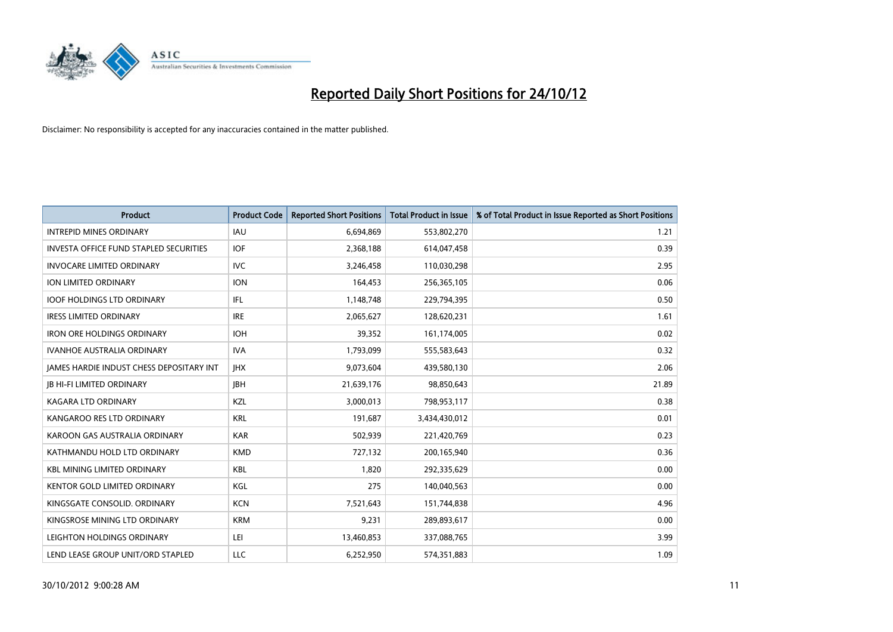

| <b>Product</b>                                | <b>Product Code</b> | <b>Reported Short Positions</b> | <b>Total Product in Issue</b> | % of Total Product in Issue Reported as Short Positions |
|-----------------------------------------------|---------------------|---------------------------------|-------------------------------|---------------------------------------------------------|
| <b>INTREPID MINES ORDINARY</b>                | <b>IAU</b>          | 6,694,869                       | 553,802,270                   | 1.21                                                    |
| <b>INVESTA OFFICE FUND STAPLED SECURITIES</b> | <b>IOF</b>          | 2,368,188                       | 614,047,458                   | 0.39                                                    |
| <b>INVOCARE LIMITED ORDINARY</b>              | IVC                 | 3,246,458                       | 110,030,298                   | 2.95                                                    |
| ION LIMITED ORDINARY                          | <b>ION</b>          | 164,453                         | 256,365,105                   | 0.06                                                    |
| <b>IOOF HOLDINGS LTD ORDINARY</b>             | <b>IFL</b>          | 1,148,748                       | 229,794,395                   | 0.50                                                    |
| <b>IRESS LIMITED ORDINARY</b>                 | <b>IRE</b>          | 2,065,627                       | 128,620,231                   | 1.61                                                    |
| <b>IRON ORE HOLDINGS ORDINARY</b>             | <b>IOH</b>          | 39,352                          | 161,174,005                   | 0.02                                                    |
| <b>IVANHOE AUSTRALIA ORDINARY</b>             | <b>IVA</b>          | 1,793,099                       | 555,583,643                   | 0.32                                                    |
| JAMES HARDIE INDUST CHESS DEPOSITARY INT      | <b>IHX</b>          | 9,073,604                       | 439,580,130                   | 2.06                                                    |
| <b>IB HI-FI LIMITED ORDINARY</b>              | <b>IBH</b>          | 21,639,176                      | 98,850,643                    | 21.89                                                   |
| <b>KAGARA LTD ORDINARY</b>                    | <b>KZL</b>          | 3,000,013                       | 798,953,117                   | 0.38                                                    |
| KANGAROO RES LTD ORDINARY                     | <b>KRL</b>          | 191,687                         | 3,434,430,012                 | 0.01                                                    |
| KAROON GAS AUSTRALIA ORDINARY                 | <b>KAR</b>          | 502,939                         | 221,420,769                   | 0.23                                                    |
| KATHMANDU HOLD LTD ORDINARY                   | <b>KMD</b>          | 727,132                         | 200,165,940                   | 0.36                                                    |
| <b>KBL MINING LIMITED ORDINARY</b>            | <b>KBL</b>          | 1,820                           | 292,335,629                   | 0.00                                                    |
| <b>KENTOR GOLD LIMITED ORDINARY</b>           | KGL                 | 275                             | 140,040,563                   | 0.00                                                    |
| KINGSGATE CONSOLID. ORDINARY                  | <b>KCN</b>          | 7,521,643                       | 151,744,838                   | 4.96                                                    |
| KINGSROSE MINING LTD ORDINARY                 | <b>KRM</b>          | 9,231                           | 289,893,617                   | 0.00                                                    |
| LEIGHTON HOLDINGS ORDINARY                    | LEI                 | 13,460,853                      | 337,088,765                   | 3.99                                                    |
| LEND LEASE GROUP UNIT/ORD STAPLED             | LLC                 | 6.252.950                       | 574,351,883                   | 1.09                                                    |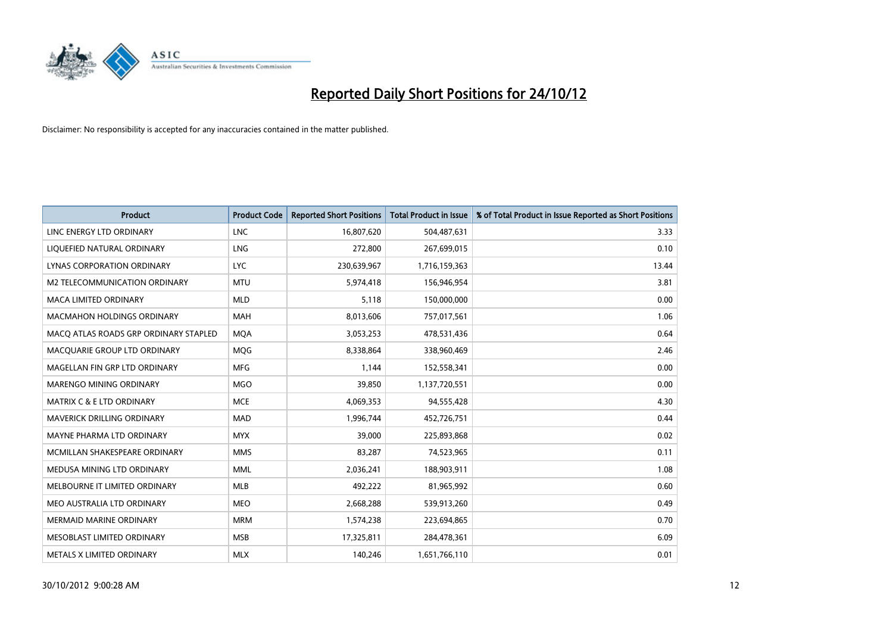

| <b>Product</b>                        | <b>Product Code</b> | <b>Reported Short Positions</b> | <b>Total Product in Issue</b> | % of Total Product in Issue Reported as Short Positions |
|---------------------------------------|---------------------|---------------------------------|-------------------------------|---------------------------------------------------------|
| LINC ENERGY LTD ORDINARY              | <b>LNC</b>          | 16,807,620                      | 504,487,631                   | 3.33                                                    |
| LIQUEFIED NATURAL ORDINARY            | LNG                 | 272,800                         | 267,699,015                   | 0.10                                                    |
| LYNAS CORPORATION ORDINARY            | <b>LYC</b>          | 230,639,967                     | 1,716,159,363                 | 13.44                                                   |
| M2 TELECOMMUNICATION ORDINARY         | <b>MTU</b>          | 5,974,418                       | 156,946,954                   | 3.81                                                    |
| <b>MACA LIMITED ORDINARY</b>          | <b>MLD</b>          | 5,118                           | 150,000,000                   | 0.00                                                    |
| <b>MACMAHON HOLDINGS ORDINARY</b>     | <b>MAH</b>          | 8,013,606                       | 757,017,561                   | 1.06                                                    |
| MACO ATLAS ROADS GRP ORDINARY STAPLED | <b>MOA</b>          | 3,053,253                       | 478,531,436                   | 0.64                                                    |
| MACQUARIE GROUP LTD ORDINARY          | <b>MOG</b>          | 8,338,864                       | 338,960,469                   | 2.46                                                    |
| MAGELLAN FIN GRP LTD ORDINARY         | <b>MFG</b>          | 1,144                           | 152,558,341                   | 0.00                                                    |
| MARENGO MINING ORDINARY               | <b>MGO</b>          | 39,850                          | 1,137,720,551                 | 0.00                                                    |
| MATRIX C & E LTD ORDINARY             | <b>MCE</b>          | 4,069,353                       | 94,555,428                    | 4.30                                                    |
| <b>MAVERICK DRILLING ORDINARY</b>     | <b>MAD</b>          | 1,996,744                       | 452,726,751                   | 0.44                                                    |
| MAYNE PHARMA LTD ORDINARY             | <b>MYX</b>          | 39,000                          | 225,893,868                   | 0.02                                                    |
| MCMILLAN SHAKESPEARE ORDINARY         | <b>MMS</b>          | 83,287                          | 74,523,965                    | 0.11                                                    |
| MEDUSA MINING LTD ORDINARY            | <b>MML</b>          | 2,036,241                       | 188,903,911                   | 1.08                                                    |
| MELBOURNE IT LIMITED ORDINARY         | <b>MLB</b>          | 492,222                         | 81,965,992                    | 0.60                                                    |
| MEO AUSTRALIA LTD ORDINARY            | <b>MEO</b>          | 2,668,288                       | 539,913,260                   | 0.49                                                    |
| <b>MERMAID MARINE ORDINARY</b>        | <b>MRM</b>          | 1,574,238                       | 223,694,865                   | 0.70                                                    |
| MESOBLAST LIMITED ORDINARY            | <b>MSB</b>          | 17,325,811                      | 284,478,361                   | 6.09                                                    |
| METALS X LIMITED ORDINARY             | <b>MLX</b>          | 140,246                         | 1,651,766,110                 | 0.01                                                    |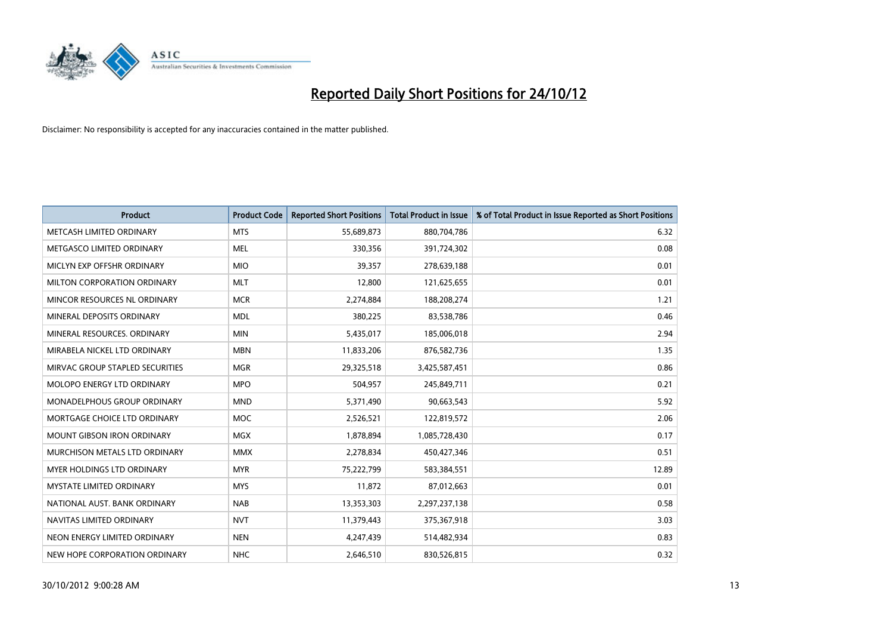

| <b>Product</b>                       | <b>Product Code</b> | <b>Reported Short Positions</b> | <b>Total Product in Issue</b> | % of Total Product in Issue Reported as Short Positions |
|--------------------------------------|---------------------|---------------------------------|-------------------------------|---------------------------------------------------------|
| METCASH LIMITED ORDINARY             | <b>MTS</b>          | 55,689,873                      | 880,704,786                   | 6.32                                                    |
| METGASCO LIMITED ORDINARY            | <b>MEL</b>          | 330,356                         | 391,724,302                   | 0.08                                                    |
| MICLYN EXP OFFSHR ORDINARY           | <b>MIO</b>          | 39,357                          | 278,639,188                   | 0.01                                                    |
| MILTON CORPORATION ORDINARY          | <b>MLT</b>          | 12,800                          | 121,625,655                   | 0.01                                                    |
| MINCOR RESOURCES NL ORDINARY         | <b>MCR</b>          | 2,274,884                       | 188,208,274                   | 1.21                                                    |
| MINERAL DEPOSITS ORDINARY            | <b>MDL</b>          | 380,225                         | 83,538,786                    | 0.46                                                    |
| MINERAL RESOURCES, ORDINARY          | <b>MIN</b>          | 5,435,017                       | 185,006,018                   | 2.94                                                    |
| MIRABELA NICKEL LTD ORDINARY         | <b>MBN</b>          | 11,833,206                      | 876,582,736                   | 1.35                                                    |
| MIRVAC GROUP STAPLED SECURITIES      | <b>MGR</b>          | 29,325,518                      | 3,425,587,451                 | 0.86                                                    |
| MOLOPO ENERGY LTD ORDINARY           | <b>MPO</b>          | 504,957                         | 245,849,711                   | 0.21                                                    |
| MONADELPHOUS GROUP ORDINARY          | <b>MND</b>          | 5,371,490                       | 90,663,543                    | 5.92                                                    |
| MORTGAGE CHOICE LTD ORDINARY         | <b>MOC</b>          | 2,526,521                       | 122,819,572                   | 2.06                                                    |
| MOUNT GIBSON IRON ORDINARY           | <b>MGX</b>          | 1,878,894                       | 1,085,728,430                 | 0.17                                                    |
| <b>MURCHISON METALS LTD ORDINARY</b> | <b>MMX</b>          | 2,278,834                       | 450,427,346                   | 0.51                                                    |
| <b>MYER HOLDINGS LTD ORDINARY</b>    | <b>MYR</b>          | 75,222,799                      | 583,384,551                   | 12.89                                                   |
| <b>MYSTATE LIMITED ORDINARY</b>      | <b>MYS</b>          | 11,872                          | 87,012,663                    | 0.01                                                    |
| NATIONAL AUST, BANK ORDINARY         | <b>NAB</b>          | 13,353,303                      | 2,297,237,138                 | 0.58                                                    |
| NAVITAS LIMITED ORDINARY             | <b>NVT</b>          | 11,379,443                      | 375,367,918                   | 3.03                                                    |
| NEON ENERGY LIMITED ORDINARY         | <b>NEN</b>          | 4,247,439                       | 514,482,934                   | 0.83                                                    |
| NEW HOPE CORPORATION ORDINARY        | <b>NHC</b>          | 2,646,510                       | 830,526,815                   | 0.32                                                    |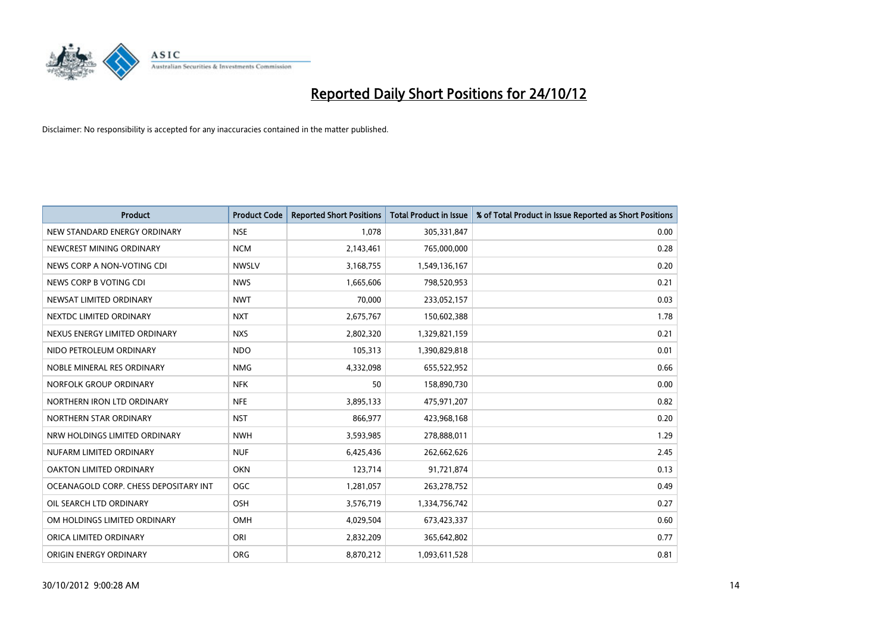

| <b>Product</b>                        | <b>Product Code</b> | <b>Reported Short Positions</b> | <b>Total Product in Issue</b> | % of Total Product in Issue Reported as Short Positions |
|---------------------------------------|---------------------|---------------------------------|-------------------------------|---------------------------------------------------------|
| NEW STANDARD ENERGY ORDINARY          | <b>NSE</b>          | 1,078                           | 305,331,847                   | 0.00                                                    |
| NEWCREST MINING ORDINARY              | <b>NCM</b>          | 2,143,461                       | 765,000,000                   | 0.28                                                    |
| NEWS CORP A NON-VOTING CDI            | <b>NWSLV</b>        | 3,168,755                       | 1,549,136,167                 | 0.20                                                    |
| NEWS CORP B VOTING CDI                | <b>NWS</b>          | 1,665,606                       | 798,520,953                   | 0.21                                                    |
| NEWSAT LIMITED ORDINARY               | <b>NWT</b>          | 70.000                          | 233,052,157                   | 0.03                                                    |
| NEXTDC LIMITED ORDINARY               | <b>NXT</b>          | 2,675,767                       | 150,602,388                   | 1.78                                                    |
| NEXUS ENERGY LIMITED ORDINARY         | <b>NXS</b>          | 2,802,320                       | 1,329,821,159                 | 0.21                                                    |
| NIDO PETROLEUM ORDINARY               | <b>NDO</b>          | 105,313                         | 1,390,829,818                 | 0.01                                                    |
| NOBLE MINERAL RES ORDINARY            | <b>NMG</b>          | 4,332,098                       | 655,522,952                   | 0.66                                                    |
| NORFOLK GROUP ORDINARY                | <b>NFK</b>          | 50                              | 158,890,730                   | 0.00                                                    |
| NORTHERN IRON LTD ORDINARY            | <b>NFE</b>          | 3,895,133                       | 475,971,207                   | 0.82                                                    |
| NORTHERN STAR ORDINARY                | <b>NST</b>          | 866,977                         | 423,968,168                   | 0.20                                                    |
| NRW HOLDINGS LIMITED ORDINARY         | <b>NWH</b>          | 3,593,985                       | 278,888,011                   | 1.29                                                    |
| NUFARM LIMITED ORDINARY               | <b>NUF</b>          | 6,425,436                       | 262,662,626                   | 2.45                                                    |
| <b>OAKTON LIMITED ORDINARY</b>        | <b>OKN</b>          | 123,714                         | 91,721,874                    | 0.13                                                    |
| OCEANAGOLD CORP. CHESS DEPOSITARY INT | OGC                 | 1,281,057                       | 263,278,752                   | 0.49                                                    |
| OIL SEARCH LTD ORDINARY               | OSH                 | 3,576,719                       | 1,334,756,742                 | 0.27                                                    |
| OM HOLDINGS LIMITED ORDINARY          | OMH                 | 4,029,504                       | 673,423,337                   | 0.60                                                    |
| ORICA LIMITED ORDINARY                | ORI                 | 2,832,209                       | 365,642,802                   | 0.77                                                    |
| ORIGIN ENERGY ORDINARY                | <b>ORG</b>          | 8,870,212                       | 1,093,611,528                 | 0.81                                                    |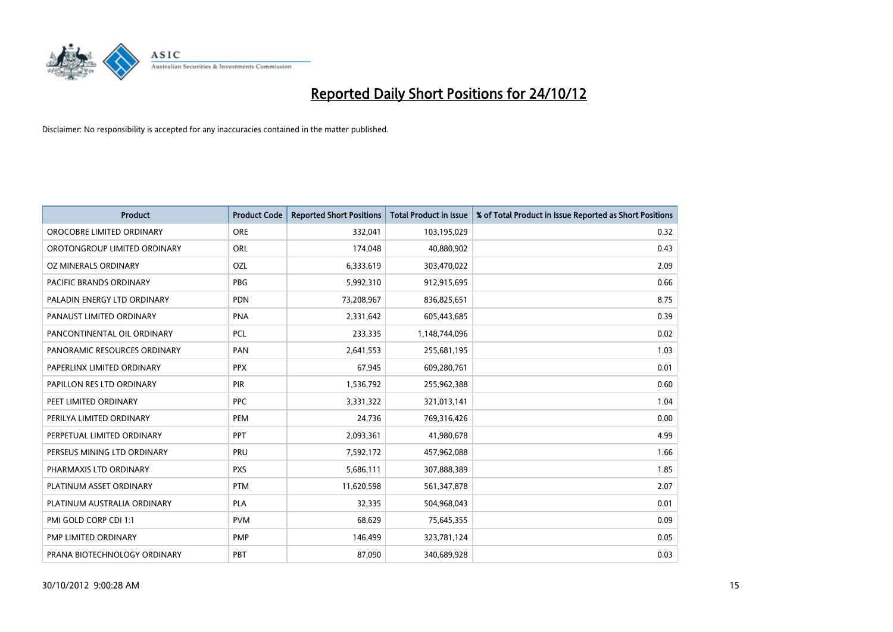

| <b>Product</b>               | <b>Product Code</b> | <b>Reported Short Positions</b> | <b>Total Product in Issue</b> | % of Total Product in Issue Reported as Short Positions |
|------------------------------|---------------------|---------------------------------|-------------------------------|---------------------------------------------------------|
| OROCOBRE LIMITED ORDINARY    | <b>ORE</b>          | 332,041                         | 103,195,029                   | 0.32                                                    |
| OROTONGROUP LIMITED ORDINARY | <b>ORL</b>          | 174,048                         | 40,880,902                    | 0.43                                                    |
| OZ MINERALS ORDINARY         | OZL                 | 6,333,619                       | 303,470,022                   | 2.09                                                    |
| PACIFIC BRANDS ORDINARY      | <b>PBG</b>          | 5,992,310                       | 912,915,695                   | 0.66                                                    |
| PALADIN ENERGY LTD ORDINARY  | <b>PDN</b>          | 73,208,967                      | 836,825,651                   | 8.75                                                    |
| PANAUST LIMITED ORDINARY     | <b>PNA</b>          | 2,331,642                       | 605,443,685                   | 0.39                                                    |
| PANCONTINENTAL OIL ORDINARY  | <b>PCL</b>          | 233,335                         | 1,148,744,096                 | 0.02                                                    |
| PANORAMIC RESOURCES ORDINARY | PAN                 | 2,641,553                       | 255,681,195                   | 1.03                                                    |
| PAPERLINX LIMITED ORDINARY   | <b>PPX</b>          | 67,945                          | 609,280,761                   | 0.01                                                    |
| PAPILLON RES LTD ORDINARY    | <b>PIR</b>          | 1,536,792                       | 255,962,388                   | 0.60                                                    |
| PEET LIMITED ORDINARY        | <b>PPC</b>          | 3,331,322                       | 321,013,141                   | 1.04                                                    |
| PERILYA LIMITED ORDINARY     | PEM                 | 24,736                          | 769,316,426                   | 0.00                                                    |
| PERPETUAL LIMITED ORDINARY   | <b>PPT</b>          | 2,093,361                       | 41,980,678                    | 4.99                                                    |
| PERSEUS MINING LTD ORDINARY  | PRU                 | 7,592,172                       | 457,962,088                   | 1.66                                                    |
| PHARMAXIS LTD ORDINARY       | <b>PXS</b>          | 5,686,111                       | 307,888,389                   | 1.85                                                    |
| PLATINUM ASSET ORDINARY      | <b>PTM</b>          | 11,620,598                      | 561,347,878                   | 2.07                                                    |
| PLATINUM AUSTRALIA ORDINARY  | <b>PLA</b>          | 32,335                          | 504,968,043                   | 0.01                                                    |
| PMI GOLD CORP CDI 1:1        | <b>PVM</b>          | 68,629                          | 75,645,355                    | 0.09                                                    |
| PMP LIMITED ORDINARY         | <b>PMP</b>          | 146,499                         | 323,781,124                   | 0.05                                                    |
| PRANA BIOTECHNOLOGY ORDINARY | PBT                 | 87,090                          | 340,689,928                   | 0.03                                                    |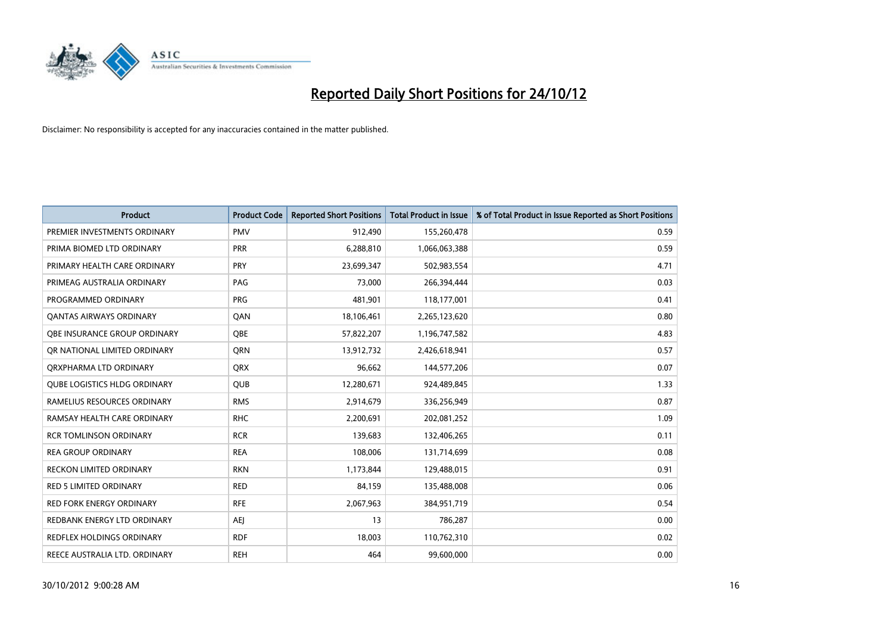

| <b>Product</b>                      | <b>Product Code</b> | <b>Reported Short Positions</b> | <b>Total Product in Issue</b> | % of Total Product in Issue Reported as Short Positions |
|-------------------------------------|---------------------|---------------------------------|-------------------------------|---------------------------------------------------------|
| PREMIER INVESTMENTS ORDINARY        | <b>PMV</b>          | 912,490                         | 155,260,478                   | 0.59                                                    |
| PRIMA BIOMED LTD ORDINARY           | <b>PRR</b>          | 6,288,810                       | 1,066,063,388                 | 0.59                                                    |
| PRIMARY HEALTH CARE ORDINARY        | <b>PRY</b>          | 23,699,347                      | 502,983,554                   | 4.71                                                    |
| PRIMEAG AUSTRALIA ORDINARY          | PAG                 | 73,000                          | 266,394,444                   | 0.03                                                    |
| PROGRAMMED ORDINARY                 | <b>PRG</b>          | 481,901                         | 118,177,001                   | 0.41                                                    |
| <b>QANTAS AIRWAYS ORDINARY</b>      | QAN                 | 18,106,461                      | 2,265,123,620                 | 0.80                                                    |
| OBE INSURANCE GROUP ORDINARY        | OBE                 | 57,822,207                      | 1,196,747,582                 | 4.83                                                    |
| OR NATIONAL LIMITED ORDINARY        | <b>ORN</b>          | 13,912,732                      | 2,426,618,941                 | 0.57                                                    |
| ORXPHARMA LTD ORDINARY              | <b>ORX</b>          | 96.662                          | 144,577,206                   | 0.07                                                    |
| <b>QUBE LOGISTICS HLDG ORDINARY</b> | <b>QUB</b>          | 12,280,671                      | 924,489,845                   | 1.33                                                    |
| RAMELIUS RESOURCES ORDINARY         | <b>RMS</b>          | 2,914,679                       | 336,256,949                   | 0.87                                                    |
| RAMSAY HEALTH CARE ORDINARY         | <b>RHC</b>          | 2,200,691                       | 202,081,252                   | 1.09                                                    |
| <b>RCR TOMLINSON ORDINARY</b>       | <b>RCR</b>          | 139,683                         | 132,406,265                   | 0.11                                                    |
| <b>REA GROUP ORDINARY</b>           | <b>REA</b>          | 108,006                         | 131,714,699                   | 0.08                                                    |
| <b>RECKON LIMITED ORDINARY</b>      | <b>RKN</b>          | 1,173,844                       | 129,488,015                   | 0.91                                                    |
| RED 5 LIMITED ORDINARY              | <b>RED</b>          | 84,159                          | 135,488,008                   | 0.06                                                    |
| RED FORK ENERGY ORDINARY            | <b>RFE</b>          | 2,067,963                       | 384,951,719                   | 0.54                                                    |
| REDBANK ENERGY LTD ORDINARY         | AEJ                 | 13                              | 786,287                       | 0.00                                                    |
| <b>REDFLEX HOLDINGS ORDINARY</b>    | <b>RDF</b>          | 18,003                          | 110,762,310                   | 0.02                                                    |
| REECE AUSTRALIA LTD. ORDINARY       | <b>REH</b>          | 464                             | 99,600,000                    | 0.00                                                    |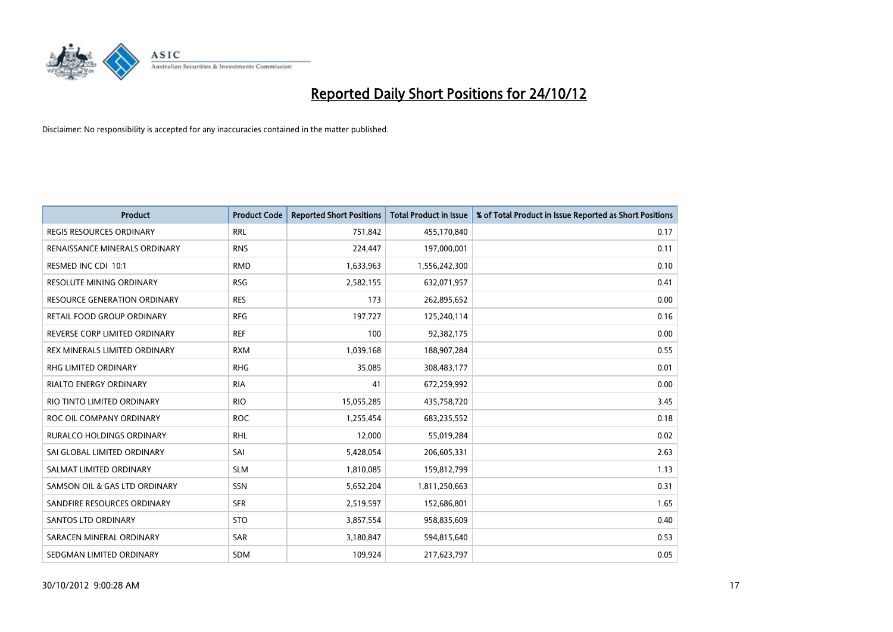

| <b>Product</b>                      | <b>Product Code</b> | <b>Reported Short Positions</b> | <b>Total Product in Issue</b> | % of Total Product in Issue Reported as Short Positions |
|-------------------------------------|---------------------|---------------------------------|-------------------------------|---------------------------------------------------------|
| <b>REGIS RESOURCES ORDINARY</b>     | <b>RRL</b>          | 751,842                         | 455,170,840                   | 0.17                                                    |
| RENAISSANCE MINERALS ORDINARY       | <b>RNS</b>          | 224,447                         | 197,000,001                   | 0.11                                                    |
| RESMED INC CDI 10:1                 | <b>RMD</b>          | 1,633,963                       | 1,556,242,300                 | 0.10                                                    |
| RESOLUTE MINING ORDINARY            | <b>RSG</b>          | 2,582,155                       | 632,071,957                   | 0.41                                                    |
| <b>RESOURCE GENERATION ORDINARY</b> | <b>RES</b>          | 173                             | 262,895,652                   | 0.00                                                    |
| RETAIL FOOD GROUP ORDINARY          | <b>RFG</b>          | 197,727                         | 125,240,114                   | 0.16                                                    |
| REVERSE CORP LIMITED ORDINARY       | <b>REF</b>          | 100                             | 92,382,175                    | 0.00                                                    |
| REX MINERALS LIMITED ORDINARY       | <b>RXM</b>          | 1,039,168                       | 188,907,284                   | 0.55                                                    |
| <b>RHG LIMITED ORDINARY</b>         | <b>RHG</b>          | 35,085                          | 308,483,177                   | 0.01                                                    |
| <b>RIALTO ENERGY ORDINARY</b>       | <b>RIA</b>          | 41                              | 672,259,992                   | 0.00                                                    |
| RIO TINTO LIMITED ORDINARY          | <b>RIO</b>          | 15,055,285                      | 435,758,720                   | 3.45                                                    |
| ROC OIL COMPANY ORDINARY            | <b>ROC</b>          | 1,255,454                       | 683,235,552                   | 0.18                                                    |
| RURALCO HOLDINGS ORDINARY           | <b>RHL</b>          | 12,000                          | 55,019,284                    | 0.02                                                    |
| SAI GLOBAL LIMITED ORDINARY         | SAI                 | 5,428,054                       | 206,605,331                   | 2.63                                                    |
| SALMAT LIMITED ORDINARY             | <b>SLM</b>          | 1,810,085                       | 159,812,799                   | 1.13                                                    |
| SAMSON OIL & GAS LTD ORDINARY       | <b>SSN</b>          | 5,652,204                       | 1,811,250,663                 | 0.31                                                    |
| SANDFIRE RESOURCES ORDINARY         | <b>SFR</b>          | 2,519,597                       | 152,686,801                   | 1.65                                                    |
| <b>SANTOS LTD ORDINARY</b>          | <b>STO</b>          | 3,857,554                       | 958,835,609                   | 0.40                                                    |
| SARACEN MINERAL ORDINARY            | <b>SAR</b>          | 3,180,847                       | 594,815,640                   | 0.53                                                    |
| SEDGMAN LIMITED ORDINARY            | <b>SDM</b>          | 109,924                         | 217,623,797                   | 0.05                                                    |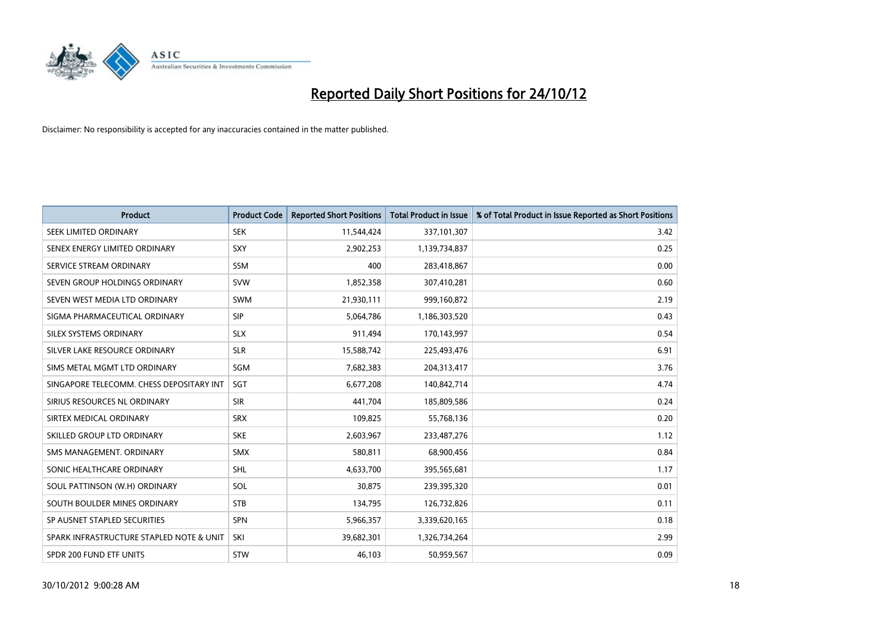

| <b>Product</b>                           | <b>Product Code</b> | <b>Reported Short Positions</b> | <b>Total Product in Issue</b> | % of Total Product in Issue Reported as Short Positions |
|------------------------------------------|---------------------|---------------------------------|-------------------------------|---------------------------------------------------------|
| <b>SEEK LIMITED ORDINARY</b>             | <b>SEK</b>          | 11,544,424                      | 337,101,307                   | 3.42                                                    |
| SENEX ENERGY LIMITED ORDINARY            | <b>SXY</b>          | 2,902,253                       | 1,139,734,837                 | 0.25                                                    |
| SERVICE STREAM ORDINARY                  | <b>SSM</b>          | 400                             | 283,418,867                   | 0.00                                                    |
| SEVEN GROUP HOLDINGS ORDINARY            | <b>SVW</b>          | 1,852,358                       | 307,410,281                   | 0.60                                                    |
| SEVEN WEST MEDIA LTD ORDINARY            | <b>SWM</b>          | 21,930,111                      | 999,160,872                   | 2.19                                                    |
| SIGMA PHARMACEUTICAL ORDINARY            | <b>SIP</b>          | 5,064,786                       | 1,186,303,520                 | 0.43                                                    |
| SILEX SYSTEMS ORDINARY                   | <b>SLX</b>          | 911,494                         | 170,143,997                   | 0.54                                                    |
| SILVER LAKE RESOURCE ORDINARY            | <b>SLR</b>          | 15,588,742                      | 225,493,476                   | 6.91                                                    |
| SIMS METAL MGMT LTD ORDINARY             | SGM                 | 7,682,383                       | 204,313,417                   | 3.76                                                    |
| SINGAPORE TELECOMM. CHESS DEPOSITARY INT | <b>SGT</b>          | 6,677,208                       | 140,842,714                   | 4.74                                                    |
| SIRIUS RESOURCES NL ORDINARY             | <b>SIR</b>          | 441,704                         | 185,809,586                   | 0.24                                                    |
| SIRTEX MEDICAL ORDINARY                  | <b>SRX</b>          | 109,825                         | 55,768,136                    | 0.20                                                    |
| SKILLED GROUP LTD ORDINARY               | <b>SKE</b>          | 2,603,967                       | 233,487,276                   | 1.12                                                    |
| SMS MANAGEMENT, ORDINARY                 | <b>SMX</b>          | 580.811                         | 68,900,456                    | 0.84                                                    |
| SONIC HEALTHCARE ORDINARY                | <b>SHL</b>          | 4,633,700                       | 395,565,681                   | 1.17                                                    |
| SOUL PATTINSON (W.H) ORDINARY            | SOL                 | 30,875                          | 239,395,320                   | 0.01                                                    |
| SOUTH BOULDER MINES ORDINARY             | <b>STB</b>          | 134,795                         | 126,732,826                   | 0.11                                                    |
| SP AUSNET STAPLED SECURITIES             | <b>SPN</b>          | 5,966,357                       | 3,339,620,165                 | 0.18                                                    |
| SPARK INFRASTRUCTURE STAPLED NOTE & UNIT | SKI                 | 39,682,301                      | 1,326,734,264                 | 2.99                                                    |
| SPDR 200 FUND ETF UNITS                  | <b>STW</b>          | 46.103                          | 50.959.567                    | 0.09                                                    |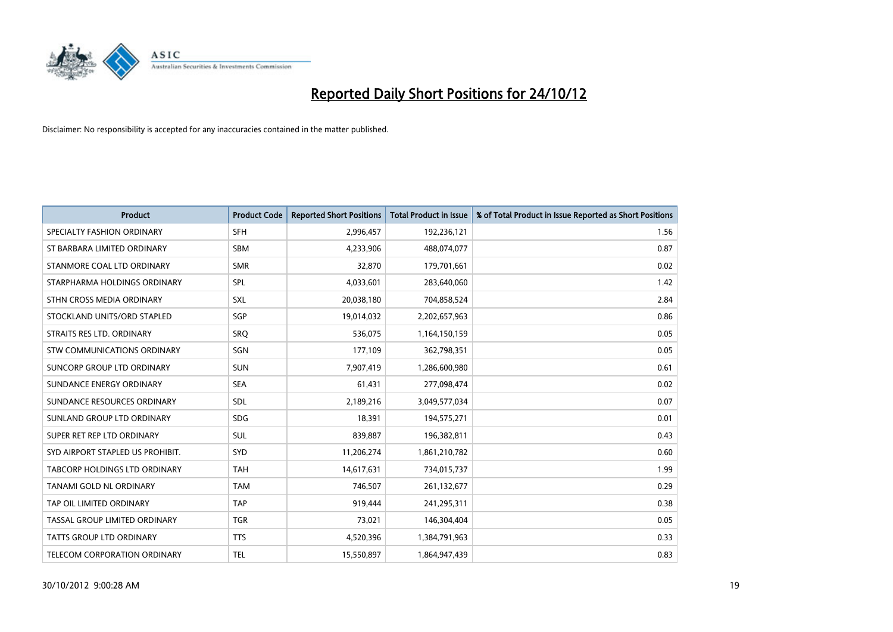

| <b>Product</b>                       | <b>Product Code</b> | <b>Reported Short Positions</b> | <b>Total Product in Issue</b> | % of Total Product in Issue Reported as Short Positions |
|--------------------------------------|---------------------|---------------------------------|-------------------------------|---------------------------------------------------------|
| SPECIALTY FASHION ORDINARY           | <b>SFH</b>          | 2,996,457                       | 192,236,121                   | 1.56                                                    |
| ST BARBARA LIMITED ORDINARY          | <b>SBM</b>          | 4,233,906                       | 488,074,077                   | 0.87                                                    |
| STANMORE COAL LTD ORDINARY           | <b>SMR</b>          | 32,870                          | 179,701,661                   | 0.02                                                    |
| STARPHARMA HOLDINGS ORDINARY         | SPL                 | 4,033,601                       | 283,640,060                   | 1.42                                                    |
| STHN CROSS MEDIA ORDINARY            | <b>SXL</b>          | 20,038,180                      | 704,858,524                   | 2.84                                                    |
| STOCKLAND UNITS/ORD STAPLED          | SGP                 | 19,014,032                      | 2,202,657,963                 | 0.86                                                    |
| STRAITS RES LTD. ORDINARY            | SRO                 | 536.075                         | 1,164,150,159                 | 0.05                                                    |
| STW COMMUNICATIONS ORDINARY          | SGN                 | 177,109                         | 362,798,351                   | 0.05                                                    |
| SUNCORP GROUP LTD ORDINARY           | <b>SUN</b>          | 7,907,419                       | 1,286,600,980                 | 0.61                                                    |
| SUNDANCE ENERGY ORDINARY             | <b>SEA</b>          | 61,431                          | 277,098,474                   | 0.02                                                    |
| SUNDANCE RESOURCES ORDINARY          | <b>SDL</b>          | 2,189,216                       | 3,049,577,034                 | 0.07                                                    |
| SUNLAND GROUP LTD ORDINARY           | <b>SDG</b>          | 18,391                          | 194,575,271                   | 0.01                                                    |
| SUPER RET REP LTD ORDINARY           | <b>SUL</b>          | 839,887                         | 196,382,811                   | 0.43                                                    |
| SYD AIRPORT STAPLED US PROHIBIT.     | <b>SYD</b>          | 11,206,274                      | 1,861,210,782                 | 0.60                                                    |
| <b>TABCORP HOLDINGS LTD ORDINARY</b> | <b>TAH</b>          | 14,617,631                      | 734,015,737                   | 1.99                                                    |
| TANAMI GOLD NL ORDINARY              | <b>TAM</b>          | 746,507                         | 261,132,677                   | 0.29                                                    |
| TAP OIL LIMITED ORDINARY             | <b>TAP</b>          | 919,444                         | 241,295,311                   | 0.38                                                    |
| TASSAL GROUP LIMITED ORDINARY        | <b>TGR</b>          | 73,021                          | 146,304,404                   | 0.05                                                    |
| <b>TATTS GROUP LTD ORDINARY</b>      | <b>TTS</b>          | 4,520,396                       | 1,384,791,963                 | 0.33                                                    |
| TELECOM CORPORATION ORDINARY         | <b>TEL</b>          | 15,550,897                      | 1,864,947,439                 | 0.83                                                    |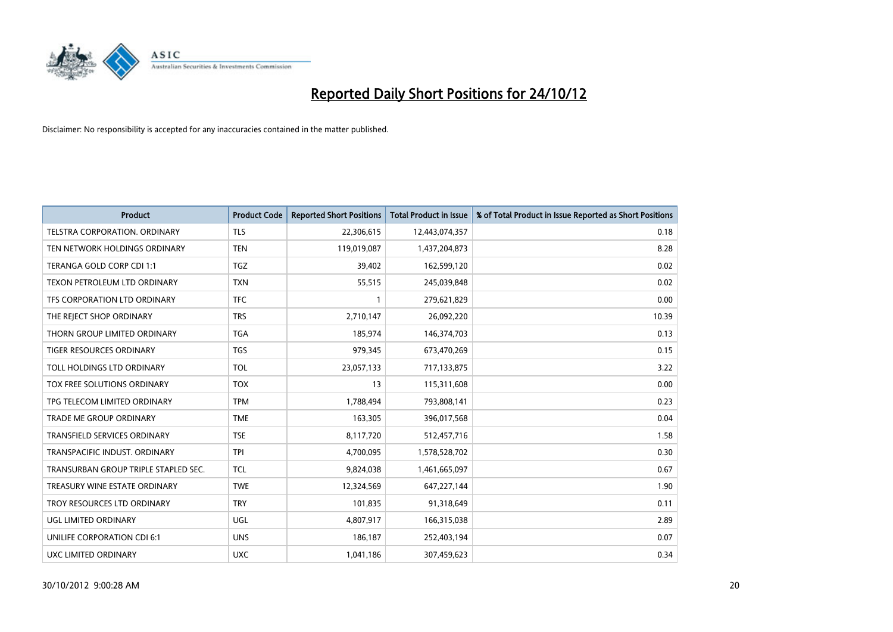

| <b>Product</b>                       | <b>Product Code</b> | <b>Reported Short Positions</b> | <b>Total Product in Issue</b> | % of Total Product in Issue Reported as Short Positions |
|--------------------------------------|---------------------|---------------------------------|-------------------------------|---------------------------------------------------------|
| <b>TELSTRA CORPORATION, ORDINARY</b> | <b>TLS</b>          | 22,306,615                      | 12,443,074,357                | 0.18                                                    |
| TEN NETWORK HOLDINGS ORDINARY        | <b>TEN</b>          | 119,019,087                     | 1,437,204,873                 | 8.28                                                    |
| TERANGA GOLD CORP CDI 1:1            | <b>TGZ</b>          | 39,402                          | 162,599,120                   | 0.02                                                    |
| TEXON PETROLEUM LTD ORDINARY         | <b>TXN</b>          | 55,515                          | 245,039,848                   | 0.02                                                    |
| <b>TFS CORPORATION LTD ORDINARY</b>  | <b>TFC</b>          |                                 | 279,621,829                   | 0.00                                                    |
| THE REJECT SHOP ORDINARY             | <b>TRS</b>          | 2,710,147                       | 26,092,220                    | 10.39                                                   |
| THORN GROUP LIMITED ORDINARY         | <b>TGA</b>          | 185.974                         | 146,374,703                   | 0.13                                                    |
| <b>TIGER RESOURCES ORDINARY</b>      | <b>TGS</b>          | 979,345                         | 673,470,269                   | 0.15                                                    |
| TOLL HOLDINGS LTD ORDINARY           | <b>TOL</b>          | 23,057,133                      | 717,133,875                   | 3.22                                                    |
| TOX FREE SOLUTIONS ORDINARY          | <b>TOX</b>          | 13                              | 115,311,608                   | 0.00                                                    |
| TPG TELECOM LIMITED ORDINARY         | <b>TPM</b>          | 1,788,494                       | 793,808,141                   | 0.23                                                    |
| <b>TRADE ME GROUP ORDINARY</b>       | <b>TME</b>          | 163,305                         | 396,017,568                   | 0.04                                                    |
| <b>TRANSFIELD SERVICES ORDINARY</b>  | <b>TSE</b>          | 8,117,720                       | 512,457,716                   | 1.58                                                    |
| TRANSPACIFIC INDUST, ORDINARY        | <b>TPI</b>          | 4,700,095                       | 1,578,528,702                 | 0.30                                                    |
| TRANSURBAN GROUP TRIPLE STAPLED SEC. | <b>TCL</b>          | 9,824,038                       | 1,461,665,097                 | 0.67                                                    |
| TREASURY WINE ESTATE ORDINARY        | <b>TWE</b>          | 12,324,569                      | 647,227,144                   | 1.90                                                    |
| TROY RESOURCES LTD ORDINARY          | <b>TRY</b>          | 101,835                         | 91,318,649                    | 0.11                                                    |
| UGL LIMITED ORDINARY                 | UGL                 | 4,807,917                       | 166,315,038                   | 2.89                                                    |
| UNILIFE CORPORATION CDI 6:1          | <b>UNS</b>          | 186,187                         | 252,403,194                   | 0.07                                                    |
| UXC LIMITED ORDINARY                 | <b>UXC</b>          | 1,041,186                       | 307,459,623                   | 0.34                                                    |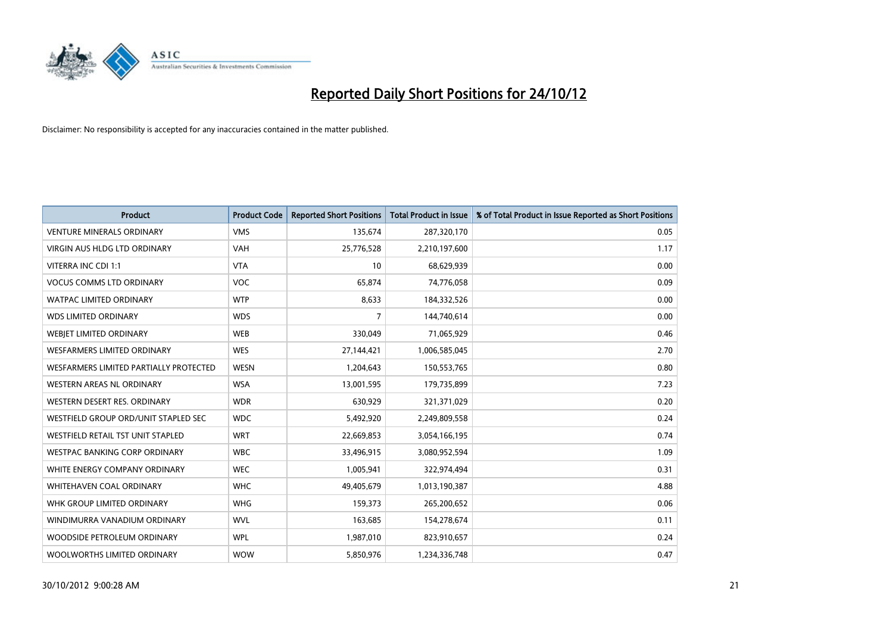

| <b>Product</b>                           | <b>Product Code</b> | <b>Reported Short Positions</b> | <b>Total Product in Issue</b> | % of Total Product in Issue Reported as Short Positions |
|------------------------------------------|---------------------|---------------------------------|-------------------------------|---------------------------------------------------------|
| <b>VENTURE MINERALS ORDINARY</b>         | <b>VMS</b>          | 135,674                         | 287,320,170                   | 0.05                                                    |
| <b>VIRGIN AUS HLDG LTD ORDINARY</b>      | <b>VAH</b>          | 25,776,528                      | 2,210,197,600                 | 1.17                                                    |
| VITERRA INC CDI 1:1                      | <b>VTA</b>          | 10                              | 68,629,939                    | 0.00                                                    |
| <b>VOCUS COMMS LTD ORDINARY</b>          | <b>VOC</b>          | 65,874                          | 74,776,058                    | 0.09                                                    |
| <b>WATPAC LIMITED ORDINARY</b>           | <b>WTP</b>          | 8,633                           | 184,332,526                   | 0.00                                                    |
| <b>WDS LIMITED ORDINARY</b>              | <b>WDS</b>          | 7                               | 144,740,614                   | 0.00                                                    |
| WEBIET LIMITED ORDINARY                  | <b>WEB</b>          | 330,049                         | 71,065,929                    | 0.46                                                    |
| <b>WESFARMERS LIMITED ORDINARY</b>       | <b>WES</b>          | 27,144,421                      | 1,006,585,045                 | 2.70                                                    |
| WESFARMERS LIMITED PARTIALLY PROTECTED   | <b>WESN</b>         | 1,204,643                       | 150,553,765                   | 0.80                                                    |
| WESTERN AREAS NL ORDINARY                | <b>WSA</b>          | 13,001,595                      | 179,735,899                   | 7.23                                                    |
| WESTERN DESERT RES. ORDINARY             | <b>WDR</b>          | 630,929                         | 321,371,029                   | 0.20                                                    |
| WESTFIELD GROUP ORD/UNIT STAPLED SEC     | <b>WDC</b>          | 5,492,920                       | 2,249,809,558                 | 0.24                                                    |
| <b>WESTFIELD RETAIL TST UNIT STAPLED</b> | <b>WRT</b>          | 22,669,853                      | 3,054,166,195                 | 0.74                                                    |
| <b>WESTPAC BANKING CORP ORDINARY</b>     | <b>WBC</b>          | 33,496,915                      | 3,080,952,594                 | 1.09                                                    |
| WHITE ENERGY COMPANY ORDINARY            | <b>WEC</b>          | 1,005,941                       | 322,974,494                   | 0.31                                                    |
| WHITEHAVEN COAL ORDINARY                 | <b>WHC</b>          | 49,405,679                      | 1,013,190,387                 | 4.88                                                    |
| WHK GROUP LIMITED ORDINARY               | <b>WHG</b>          | 159,373                         | 265,200,652                   | 0.06                                                    |
| WINDIMURRA VANADIUM ORDINARY             | <b>WVL</b>          | 163,685                         | 154,278,674                   | 0.11                                                    |
| WOODSIDE PETROLEUM ORDINARY              | <b>WPL</b>          | 1,987,010                       | 823,910,657                   | 0.24                                                    |
| WOOLWORTHS LIMITED ORDINARY              | <b>WOW</b>          | 5,850,976                       | 1,234,336,748                 | 0.47                                                    |